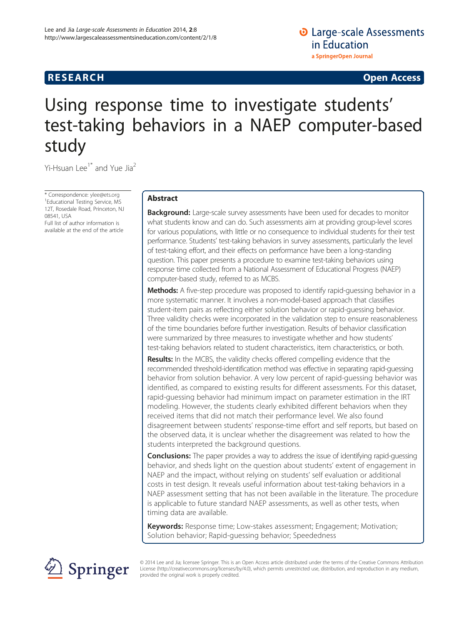# **RESEARCH CHE Open Access**

# Using response time to investigate students' test-taking behaviors in a NAEP computer-based study

Yi-Hsuan Lee<sup>1\*</sup> and Yue Jia<sup>2</sup>

\* Correspondence: [ylee@ets.org](mailto:ylee@ets.org) <sup>1</sup> <sup>1</sup> Educational Testing Service, MS 12T, Rosedale Road, Princeton, NJ 08541, USA Full list of author information is available at the end of the article

# Abstract

**Background:** Large-scale survey assessments have been used for decades to monitor what students know and can do. Such assessments aim at providing group-level scores for various populations, with little or no consequence to individual students for their test performance. Students' test-taking behaviors in survey assessments, particularly the level of test-taking effort, and their effects on performance have been a long-standing question. This paper presents a procedure to examine test-taking behaviors using response time collected from a National Assessment of Educational Progress (NAEP) computer-based study, referred to as MCBS.

Methods: A five-step procedure was proposed to identify rapid-guessing behavior in a more systematic manner. It involves a non-model-based approach that classifies student-item pairs as reflecting either solution behavior or rapid-guessing behavior. Three validity checks were incorporated in the validation step to ensure reasonableness of the time boundaries before further investigation. Results of behavior classification were summarized by three measures to investigate whether and how students' test-taking behaviors related to student characteristics, item characteristics, or both.

Results: In the MCBS, the validity checks offered compelling evidence that the recommended threshold-identification method was effective in separating rapid-guessing behavior from solution behavior. A very low percent of rapid-guessing behavior was identified, as compared to existing results for different assessments. For this dataset, rapid-guessing behavior had minimum impact on parameter estimation in the IRT modeling. However, the students clearly exhibited different behaviors when they received items that did not match their performance level. We also found disagreement between students' response-time effort and self reports, but based on the observed data, it is unclear whether the disagreement was related to how the students interpreted the background questions.

**Conclusions:** The paper provides a way to address the issue of identifying rapid-quessing behavior, and sheds light on the question about students' extent of engagement in NAEP and the impact, without relying on students' self evaluation or additional costs in test design. It reveals useful information about test-taking behaviors in a NAEP assessment setting that has not been available in the literature. The procedure is applicable to future standard NAEP assessments, as well as other tests, when timing data are available.

Keywords: Response time; Low-stakes assessment; Engagement; Motivation; Solution behavior; Rapid-guessing behavior; Speededness



© 2014 Lee and Jia; licensee Springer. This is an Open Access article distributed under the terms of the Creative Commons Attribution License [\(http://creativecommons.org/licenses/by/4.0\)](http://creativecommons.org/licenses/by/4.0), which permits unrestricted use, distribution, and reproduction in any medium, provided the original work is properly credited.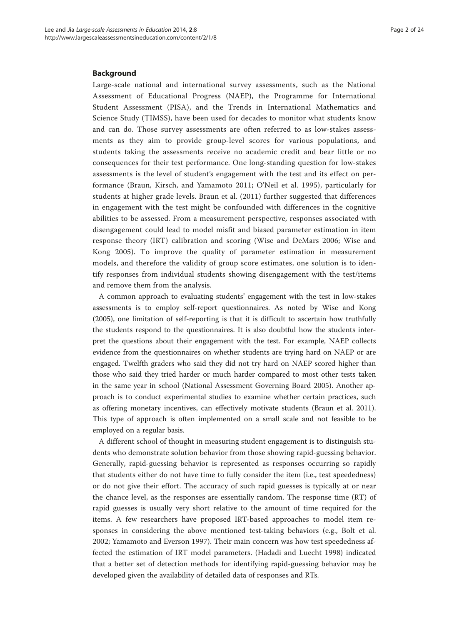# <span id="page-1-0"></span>Background

Large-scale national and international survey assessments, such as the National Assessment of Educational Progress (NAEP), the Programme for International Student Assessment (PISA), and the Trends in International Mathematics and Science Study (TIMSS), have been used for decades to monitor what students know and can do. Those survey assessments are often referred to as low-stakes assessments as they aim to provide group-level scores for various populations, and students taking the assessments receive no academic credit and bear little or no consequences for their test performance. One long-standing question for low-stakes assessments is the level of student's engagement with the test and its effect on performance (Braun, Kirsch, and Yamamoto [2011;](#page-22-0) O'Neil et al. [1995](#page-23-0)), particularly for students at higher grade levels. Braun et al. [\(2011\)](#page-22-0) further suggested that differences in engagement with the test might be confounded with differences in the cognitive abilities to be assessed. From a measurement perspective, responses associated with disengagement could lead to model misfit and biased parameter estimation in item response theory (IRT) calibration and scoring (Wise and DeMars [2006;](#page-23-0) Wise and Kong [2005\)](#page-23-0). To improve the quality of parameter estimation in measurement models, and therefore the validity of group score estimates, one solution is to identify responses from individual students showing disengagement with the test/items and remove them from the analysis.

A common approach to evaluating students' engagement with the test in low-stakes assessments is to employ self-report questionnaires. As noted by Wise and Kong ([2005](#page-23-0)), one limitation of self-reporting is that it is difficult to ascertain how truthfully the students respond to the questionnaires. It is also doubtful how the students interpret the questions about their engagement with the test. For example, NAEP collects evidence from the questionnaires on whether students are trying hard on NAEP or are engaged. Twelfth graders who said they did not try hard on NAEP scored higher than those who said they tried harder or much harder compared to most other tests taken in the same year in school (National Assessment Governing Board [2005](#page-23-0)). Another approach is to conduct experimental studies to examine whether certain practices, such as offering monetary incentives, can effectively motivate students (Braun et al. [2011](#page-22-0)). This type of approach is often implemented on a small scale and not feasible to be employed on a regular basis.

A different school of thought in measuring student engagement is to distinguish students who demonstrate solution behavior from those showing rapid-guessing behavior. Generally, rapid-guessing behavior is represented as responses occurring so rapidly that students either do not have time to fully consider the item (i.e., test speededness) or do not give their effort. The accuracy of such rapid guesses is typically at or near the chance level, as the responses are essentially random. The response time (RT) of rapid guesses is usually very short relative to the amount of time required for the items. A few researchers have proposed IRT-based approaches to model item responses in considering the above mentioned test-taking behaviors (e.g., Bolt et al. [2002;](#page-22-0) Yamamoto and Everson [1997](#page-23-0)). Their main concern was how test speededness affected the estimation of IRT model parameters. (Hadadi and Luecht [1998\)](#page-23-0) indicated that a better set of detection methods for identifying rapid-guessing behavior may be developed given the availability of detailed data of responses and RTs.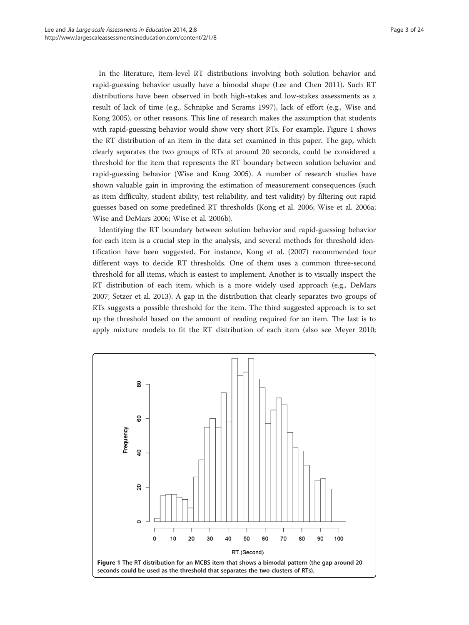<span id="page-2-0"></span>In the literature, item-level RT distributions involving both solution behavior and rapid-guessing behavior usually have a bimodal shape (Lee and Chen [2011](#page-23-0)). Such RT distributions have been observed in both high-stakes and low-stakes assessments as a result of lack of time (e.g., Schnipke and Scrams [1997](#page-23-0)), lack of effort (e.g., Wise and Kong [2005](#page-23-0)), or other reasons. This line of research makes the assumption that students with rapid-guessing behavior would show very short RTs. For example, Figure 1 shows the RT distribution of an item in the data set examined in this paper. The gap, which clearly separates the two groups of RTs at around 20 seconds, could be considered a threshold for the item that represents the RT boundary between solution behavior and rapid-guessing behavior (Wise and Kong [2005\)](#page-23-0). A number of research studies have shown valuable gain in improving the estimation of measurement consequences (such as item difficulty, student ability, test reliability, and test validity) by filtering out rapid guesses based on some predefined RT thresholds (Kong et al. [2006;](#page-23-0) Wise et al. [2006a](#page-23-0); Wise and DeMars [2006](#page-23-0); Wise et al. [2006b](#page-23-0)).

Identifying the RT boundary between solution behavior and rapid-guessing behavior for each item is a crucial step in the analysis, and several methods for threshold identification have been suggested. For instance, Kong et al. [\(2007\)](#page-23-0) recommended four different ways to decide RT thresholds. One of them uses a common three-second threshold for all items, which is easiest to implement. Another is to visually inspect the RT distribution of each item, which is a more widely used approach (e.g., DeMars [2007](#page-23-0); Setzer et al. [2013](#page-23-0)). A gap in the distribution that clearly separates two groups of RTs suggests a possible threshold for the item. The third suggested approach is to set up the threshold based on the amount of reading required for an item. The last is to apply mixture models to fit the RT distribution of each item (also see Meyer [2010](#page-23-0);

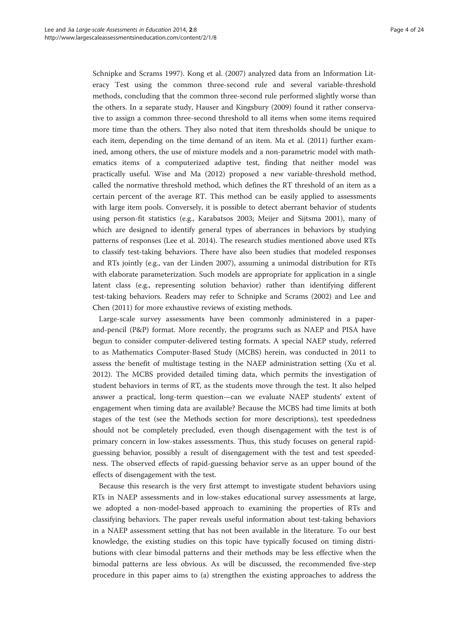Schnipke and Scrams [1997](#page-23-0)). Kong et al. [\(2007\)](#page-23-0) analyzed data from an Information Literacy Test using the common three-second rule and several variable-threshold methods, concluding that the common three-second rule performed slightly worse than the others. In a separate study, Hauser and Kingsbury ([2009](#page-23-0)) found it rather conservative to assign a common three-second threshold to all items when some items required more time than the others. They also noted that item thresholds should be unique to each item, depending on the time demand of an item. Ma et al. ([2011](#page-23-0)) further examined, among others, the use of mixture models and a non-parametric model with mathematics items of a computerized adaptive test, finding that neither model was practically useful. Wise and Ma [\(2012](#page-23-0)) proposed a new variable-threshold method, called the normative threshold method, which defines the RT threshold of an item as a certain percent of the average RT. This method can be easily applied to assessments with large item pools. Conversely, it is possible to detect aberrant behavior of students using person-fit statistics (e.g., Karabatsos [2003;](#page-23-0) Meijer and Sijtsma [2001\)](#page-23-0), many of which are designed to identify general types of aberrances in behaviors by studying patterns of responses (Lee et al. [2014\)](#page-23-0). The research studies mentioned above used RTs to classify test-taking behaviors. There have also been studies that modeled responses and RTs jointly (e.g., van der Linden [2007](#page-23-0)), assuming a unimodal distribution for RTs with elaborate parameterization. Such models are appropriate for application in a single latent class (e.g., representing solution behavior) rather than identifying different test-taking behaviors. Readers may refer to Schnipke and Scrams ([2002](#page-23-0)) and Lee and Chen ([2011](#page-23-0)) for more exhaustive reviews of existing methods.

Large-scale survey assessments have been commonly administered in a paperand-pencil (P&P) format. More recently, the programs such as NAEP and PISA have begun to consider computer-delivered testing formats. A special NAEP study, referred to as Mathematics Computer-Based Study (MCBS) herein, was conducted in 2011 to assess the benefit of multistage testing in the NAEP administration setting (Xu et al. [2012](#page-23-0)). The MCBS provided detailed timing data, which permits the investigation of student behaviors in terms of RT, as the students move through the test. It also helped answer a practical, long-term question—can we evaluate NAEP students' extent of engagement when timing data are available? Because the MCBS had time limits at both stages of the test (see the [Methods](#page-4-0) section for more descriptions), test speededness should not be completely precluded, even though disengagement with the test is of primary concern in low-stakes assessments. Thus, this study focuses on general rapidguessing behavior, possibly a result of disengagement with the test and test speededness. The observed effects of rapid-guessing behavior serve as an upper bound of the effects of disengagement with the test.

Because this research is the very first attempt to investigate student behaviors using RTs in NAEP assessments and in low-stakes educational survey assessments at large, we adopted a non-model-based approach to examining the properties of RTs and classifying behaviors. The paper reveals useful information about test-taking behaviors in a NAEP assessment setting that has not been available in the literature. To our best knowledge, the existing studies on this topic have typically focused on timing distributions with clear bimodal patterns and their methods may be less effective when the bimodal patterns are less obvious. As will be discussed, the recommended five-step procedure in this paper aims to (a) strengthen the existing approaches to address the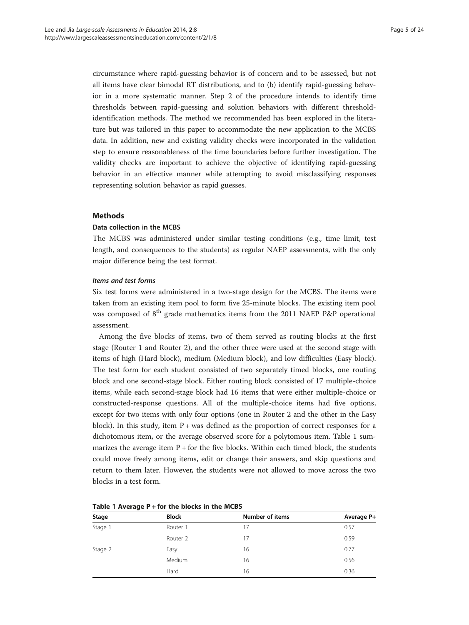<span id="page-4-0"></span>circumstance where rapid-guessing behavior is of concern and to be assessed, but not all items have clear bimodal RT distributions, and to (b) identify rapid-guessing behavior in a more systematic manner. Step 2 of the procedure intends to identify time thresholds between rapid-guessing and solution behaviors with different thresholdidentification methods. The method we recommended has been explored in the literature but was tailored in this paper to accommodate the new application to the MCBS data. In addition, new and existing validity checks were incorporated in the validation step to ensure reasonableness of the time boundaries before further investigation. The validity checks are important to achieve the objective of identifying rapid-guessing behavior in an effective manner while attempting to avoid misclassifying responses representing solution behavior as rapid guesses.

# Methods

# Data collection in the MCBS

The MCBS was administered under similar testing conditions (e.g., time limit, test length, and consequences to the students) as regular NAEP assessments, with the only major difference being the test format.

# Items and test forms

Six test forms were administered in a two-stage design for the MCBS. The items were taken from an existing item pool to form five 25-minute blocks. The existing item pool was composed of 8<sup>th</sup> grade mathematics items from the 2011 NAEP P&P operational assessment.

Among the five blocks of items, two of them served as routing blocks at the first stage (Router 1 and Router 2), and the other three were used at the second stage with items of high (Hard block), medium (Medium block), and low difficulties (Easy block). The test form for each student consisted of two separately timed blocks, one routing block and one second-stage block. Either routing block consisted of 17 multiple-choice items, while each second-stage block had 16 items that were either multiple-choice or constructed-response questions. All of the multiple-choice items had five options, except for two items with only four options (one in Router 2 and the other in the Easy block). In this study, item  $P$  + was defined as the proportion of correct responses for a dichotomous item, or the average observed score for a polytomous item. Table 1 summarizes the average item  $P$  + for the five blocks. Within each timed block, the students could move freely among items, edit or change their answers, and skip questions and return to them later. However, the students were not allowed to move across the two blocks in a test form.

| Stage   | <b>Block</b> | <b>Number of items</b> | Average P+ |  |  |  |  |  |
|---------|--------------|------------------------|------------|--|--|--|--|--|
| Stage 1 | Router 1     | 17                     | 0.57       |  |  |  |  |  |
|         | Router 2     | 17                     | 0.59       |  |  |  |  |  |
| Stage 2 | Easy         | 16                     | 0.77       |  |  |  |  |  |
|         | Medium       | 16                     | 0.56       |  |  |  |  |  |
|         | Hard         | 16                     | 0.36       |  |  |  |  |  |

Table 1 Average  $P +$  for the blocks in the MCBS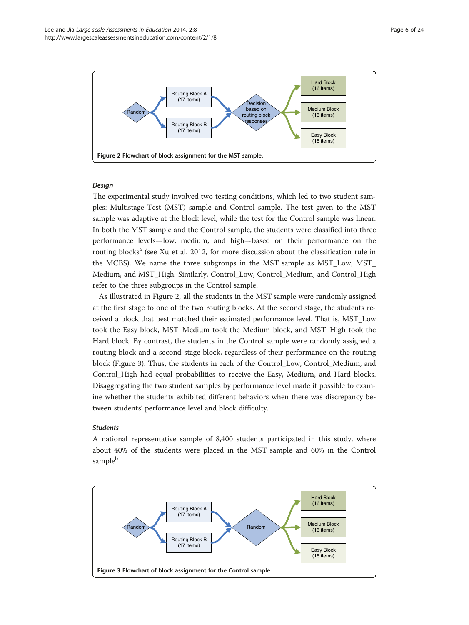

# Design

The experimental study involved two testing conditions, which led to two student samples: Multistage Test (MST) sample and Control sample. The test given to the MST sample was adaptive at the block level, while the test for the Control sample was linear. In both the MST sample and the Control sample, the students were classified into three performance levels–-low, medium, and high–-based on their performance on the routing blocks<sup>a</sup> (see Xu et al. [2012](#page-23-0), for more discussion about the classification rule in the MCBS). We name the three subgroups in the MST sample as MST\_Low, MST\_ Medium, and MST\_High. Similarly, Control\_Low, Control\_Medium, and Control\_High refer to the three subgroups in the Control sample.

As illustrated in Figure 2, all the students in the MST sample were randomly assigned at the first stage to one of the two routing blocks. At the second stage, the students received a block that best matched their estimated performance level. That is, MST\_Low took the Easy block, MST\_Medium took the Medium block, and MST\_High took the Hard block. By contrast, the students in the Control sample were randomly assigned a routing block and a second-stage block, regardless of their performance on the routing block (Figure 3). Thus, the students in each of the Control\_Low, Control\_Medium, and Control\_High had equal probabilities to receive the Easy, Medium, and Hard blocks. Disaggregating the two student samples by performance level made it possible to examine whether the students exhibited different behaviors when there was discrepancy between students' performance level and block difficulty.

# **Students**

A national representative sample of 8,400 students participated in this study, where about 40% of the students were placed in the MST sample and 60% in the Control sample<sup>b</sup>.

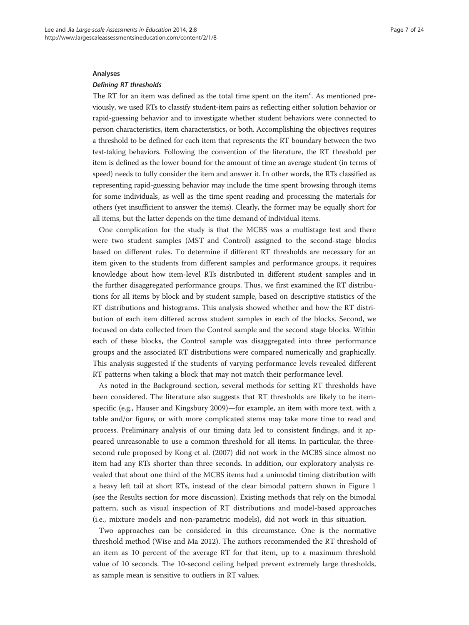#### Analyses

# Defining RT thresholds

The RT for an item was defined as the total time spent on the item<sup>c</sup>. As mentioned previously, we used RTs to classify student-item pairs as reflecting either solution behavior or rapid-guessing behavior and to investigate whether student behaviors were connected to person characteristics, item characteristics, or both. Accomplishing the objectives requires a threshold to be defined for each item that represents the RT boundary between the two test-taking behaviors. Following the convention of the literature, the RT threshold per item is defined as the lower bound for the amount of time an average student (in terms of speed) needs to fully consider the item and answer it. In other words, the RTs classified as representing rapid-guessing behavior may include the time spent browsing through items for some individuals, as well as the time spent reading and processing the materials for others (yet insufficient to answer the items). Clearly, the former may be equally short for all items, but the latter depends on the time demand of individual items.

One complication for the study is that the MCBS was a multistage test and there were two student samples (MST and Control) assigned to the second-stage blocks based on different rules. To determine if different RT thresholds are necessary for an item given to the students from different samples and performance groups, it requires knowledge about how item-level RTs distributed in different student samples and in the further disaggregated performance groups. Thus, we first examined the RT distributions for all items by block and by student sample, based on descriptive statistics of the RT distributions and histograms. This analysis showed whether and how the RT distribution of each item differed across student samples in each of the blocks. Second, we focused on data collected from the Control sample and the second stage blocks. Within each of these blocks, the Control sample was disaggregated into three performance groups and the associated RT distributions were compared numerically and graphically. This analysis suggested if the students of varying performance levels revealed different RT patterns when taking a block that may not match their performance level.

As noted in the [Background](#page-1-0) section, several methods for setting RT thresholds have been considered. The literature also suggests that RT thresholds are likely to be itemspecific (e.g., Hauser and Kingsbury [2009\)](#page-23-0)—for example, an item with more text, with a table and/or figure, or with more complicated stems may take more time to read and process. Preliminary analysis of our timing data led to consistent findings, and it appeared unreasonable to use a common threshold for all items. In particular, the threesecond rule proposed by Kong et al. [\(2007\)](#page-23-0) did not work in the MCBS since almost no item had any RTs shorter than three seconds. In addition, our exploratory analysis revealed that about one third of the MCBS items had a unimodal timing distribution with a heavy left tail at short RTs, instead of the clear bimodal pattern shown in Figure [1](#page-2-0) (see the [Results](#page-11-0) section for more discussion). Existing methods that rely on the bimodal pattern, such as visual inspection of RT distributions and model-based approaches (i.e., mixture models and non-parametric models), did not work in this situation.

Two approaches can be considered in this circumstance. One is the normative threshold method (Wise and Ma [2012](#page-23-0)). The authors recommended the RT threshold of an item as 10 percent of the average RT for that item, up to a maximum threshold value of 10 seconds. The 10-second ceiling helped prevent extremely large thresholds, as sample mean is sensitive to outliers in RT values.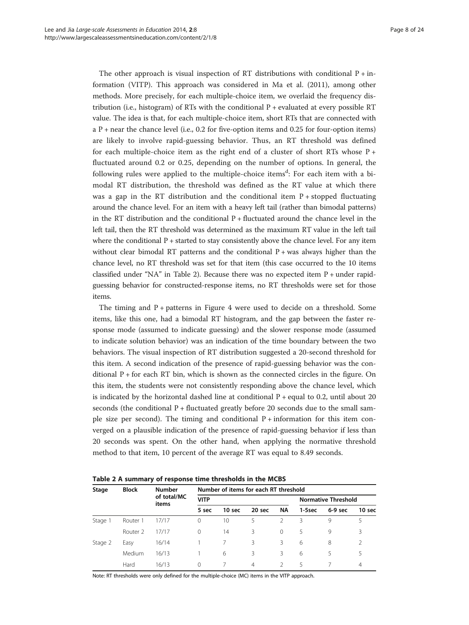<span id="page-7-0"></span>The other approach is visual inspection of RT distributions with conditional  $P + in$ formation (VITP). This approach was considered in Ma et al. ([2011](#page-23-0)), among other methods. More precisely, for each multiple-choice item, we overlaid the frequency distribution (i.e., histogram) of RTs with the conditional  $P$  + evaluated at every possible RT value. The idea is that, for each multiple-choice item, short RTs that are connected with  $a P$  + near the chance level (i.e., 0.2 for five-option items and 0.25 for four-option items) are likely to involve rapid-guessing behavior. Thus, an RT threshold was defined for each multiple-choice item as the right end of a cluster of short RTs whose  $P +$ fluctuated around 0.2 or 0.25, depending on the number of options. In general, the following rules were applied to the multiple-choice items<sup>d</sup>: For each item with a bimodal RT distribution, the threshold was defined as the RT value at which there was a gap in the RT distribution and the conditional item  $P$  + stopped fluctuating around the chance level. For an item with a heavy left tail (rather than bimodal patterns) in the RT distribution and the conditional  $P$  + fluctuated around the chance level in the left tail, then the RT threshold was determined as the maximum RT value in the left tail where the conditional  $P$  + started to stay consistently above the chance level. For any item without clear bimodal RT patterns and the conditional  $P$  + was always higher than the chance level, no RT threshold was set for that item (this case occurred to the 10 items classified under "NA" in Table 2). Because there was no expected item P + under rapidguessing behavior for constructed-response items, no RT thresholds were set for those items.

The timing and  $P$  + patterns in Figure [4](#page-8-0) were used to decide on a threshold. Some items, like this one, had a bimodal RT histogram, and the gap between the faster response mode (assumed to indicate guessing) and the slower response mode (assumed to indicate solution behavior) was an indication of the time boundary between the two behaviors. The visual inspection of RT distribution suggested a 20-second threshold for this item. A second indication of the presence of rapid-guessing behavior was the conditional  $P$  + for each RT bin, which is shown as the connected circles in the figure. On this item, the students were not consistently responding above the chance level, which is indicated by the horizontal dashed line at conditional  $P$  + equal to 0.2, until about 20 seconds (the conditional  $P$  + fluctuated greatly before 20 seconds due to the small sample size per second). The timing and conditional  $P$  + information for this item converged on a plausible indication of the presence of rapid-guessing behavior if less than 20 seconds was spent. On the other hand, when applying the normative threshold method to that item, 10 percent of the average RT was equal to 8.49 seconds.

Table 2 A summary of response time thresholds in the MCBS

| Stage   | <b>Block</b>        | <b>Number</b><br>of total/MC<br>items | Number of items for each RT threshold |        |                |               |                            |           |        |
|---------|---------------------|---------------------------------------|---------------------------------------|--------|----------------|---------------|----------------------------|-----------|--------|
|         |                     |                                       | <b>VITP</b>                           |        |                |               | <b>Normative Threshold</b> |           |        |
|         |                     |                                       | 5 sec                                 | 10 sec | 20 sec         | <b>NA</b>     | 1-5sec                     | $6-9$ sec | 10 sec |
| Stage 1 | Router 1            | 17/17                                 | 0                                     | 10     | 5              | $\mathcal{L}$ | 3                          | 9         | 5      |
|         | Router <sub>2</sub> | 17/17                                 | 0                                     | 14     | 3              | $\Omega$      | 5                          | 9         | 3      |
| Stage 2 | Easy                | 16/14                                 |                                       |        | 3              | 3             | 6                          | 8         | 2      |
|         | Medium              | 16/13                                 |                                       | 6      | 3              | 3             | 6                          | 5         | 5      |
|         | Hard                | 16/13                                 | 0                                     |        | $\overline{4}$ | $\mathcal{L}$ | 5                          |           | 4      |

Note: RT thresholds were only defined for the multiple-choice (MC) items in the VITP approach.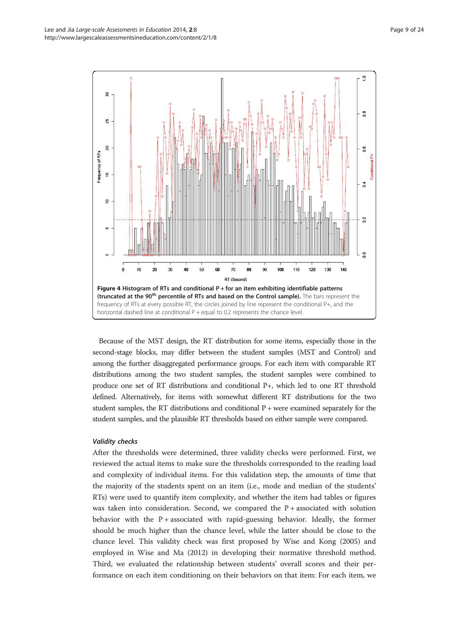<span id="page-8-0"></span>

Because of the MST design, the RT distribution for some items, especially those in the second-stage blocks, may differ between the student samples (MST and Control) and among the further disaggregated performance groups. For each item with comparable RT distributions among the two student samples, the student samples were combined to produce one set of RT distributions and conditional P+, which led to one RT threshold defined. Alternatively, for items with somewhat different RT distributions for the two student samples, the RT distributions and conditional  $P$  + were examined separately for the student samples, and the plausible RT thresholds based on either sample were compared.

# Validity checks

After the thresholds were determined, three validity checks were performed. First, we reviewed the actual items to make sure the thresholds corresponded to the reading load and complexity of individual items. For this validation step, the amounts of time that the majority of the students spent on an item (i.e., mode and median of the students' RTs) were used to quantify item complexity, and whether the item had tables or figures was taken into consideration. Second, we compared the  $P$  + associated with solution behavior with the  $P$  + associated with rapid-guessing behavior. Ideally, the former should be much higher than the chance level, while the latter should be close to the chance level. This validity check was first proposed by Wise and Kong ([2005\)](#page-23-0) and employed in Wise and Ma [\(2012\)](#page-23-0) in developing their normative threshold method. Third, we evaluated the relationship between students' overall scores and their performance on each item conditioning on their behaviors on that item: For each item, we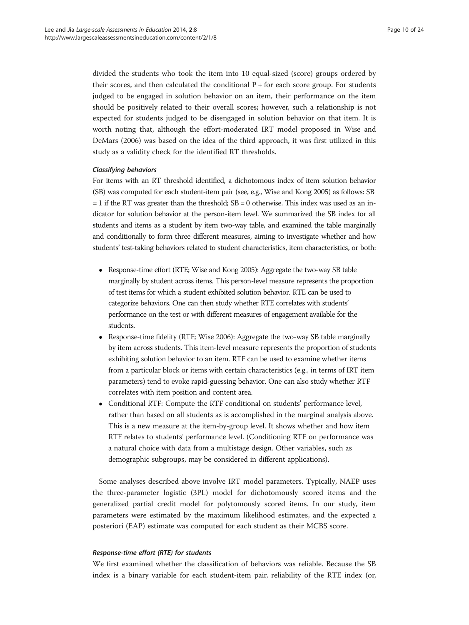divided the students who took the item into 10 equal-sized (score) groups ordered by their scores, and then calculated the conditional  $P$  + for each score group. For students judged to be engaged in solution behavior on an item, their performance on the item should be positively related to their overall scores; however, such a relationship is not expected for students judged to be disengaged in solution behavior on that item. It is worth noting that, although the effort-moderated IRT model proposed in Wise and DeMars ([2006](#page-23-0)) was based on the idea of the third approach, it was first utilized in this study as a validity check for the identified RT thresholds.

# Classifying behaviors

For items with an RT threshold identified, a dichotomous index of item solution behavior (SB) was computed for each student-item pair (see, e.g., Wise and Kong [2005](#page-23-0)) as follows: SB  $= 1$  if the RT was greater than the threshold;  $SB = 0$  otherwise. This index was used as an indicator for solution behavior at the person-item level. We summarized the SB index for all students and items as a student by item two-way table, and examined the table marginally and conditionally to form three different measures, aiming to investigate whether and how students' test-taking behaviors related to student characteristics, item characteristics, or both:

- Response-time effort (RTE; Wise and Kong [2005\)](#page-23-0): Aggregate the two-way SB table marginally by student across items. This person-level measure represents the proportion of test items for which a student exhibited solution behavior. RTE can be used to categorize behaviors. One can then study whether RTE correlates with students' performance on the test or with different measures of engagement available for the students.
- Response-time fidelity (RTF; Wise [2006](#page-23-0)): Aggregate the two-way SB table marginally by item across students. This item-level measure represents the proportion of students exhibiting solution behavior to an item. RTF can be used to examine whether items from a particular block or items with certain characteristics (e.g., in terms of IRT item parameters) tend to evoke rapid-guessing behavior. One can also study whether RTF correlates with item position and content area.
- Conditional RTF: Compute the RTF conditional on students' performance level, rather than based on all students as is accomplished in the marginal analysis above. This is a new measure at the item-by-group level. It shows whether and how item RTF relates to students' performance level. (Conditioning RTF on performance was a natural choice with data from a multistage design. Other variables, such as demographic subgroups, may be considered in different applications).

Some analyses described above involve IRT model parameters. Typically, NAEP uses the three-parameter logistic (3PL) model for dichotomously scored items and the generalized partial credit model for polytomously scored items. In our study, item parameters were estimated by the maximum likelihood estimates, and the expected a posteriori (EAP) estimate was computed for each student as their MCBS score.

# Response-time effort (RTE) for students

We first examined whether the classification of behaviors was reliable. Because the SB index is a binary variable for each student-item pair, reliability of the RTE index (or,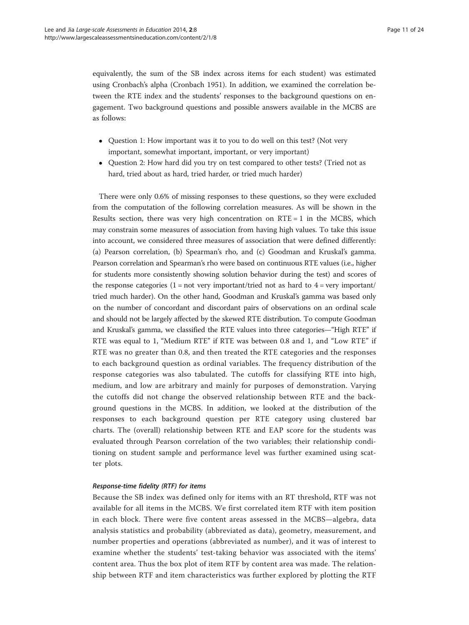equivalently, the sum of the SB index across items for each student) was estimated using Cronbach's alpha (Cronbach [1951\)](#page-23-0). In addition, we examined the correlation between the RTE index and the students' responses to the background questions on engagement. Two background questions and possible answers available in the MCBS are as follows:

- Question 1: How important was it to you to do well on this test? (Not very important, somewhat important, important, or very important)
- Question 2: How hard did you try on test compared to other tests? (Tried not as hard, tried about as hard, tried harder, or tried much harder)

There were only 0.6% of missing responses to these questions, so they were excluded from the computation of the following correlation measures. As will be shown in the [Results](#page-11-0) section, there was very high concentration on  $RTE = 1$  in the MCBS, which may constrain some measures of association from having high values. To take this issue into account, we considered three measures of association that were defined differently: (a) Pearson correlation, (b) Spearman's rho, and (c) Goodman and Kruskal's gamma. Pearson correlation and Spearman's rho were based on continuous RTE values (i.e., higher for students more consistently showing solution behavior during the test) and scores of the response categories  $(1 = not very important/tried not as hard to 4 = very important/$ tried much harder). On the other hand, Goodman and Kruskal's gamma was based only on the number of concordant and discordant pairs of observations on an ordinal scale and should not be largely affected by the skewed RTE distribution. To compute Goodman and Kruskal's gamma, we classified the RTE values into three categories—"High RTE" if RTE was equal to 1, "Medium RTE" if RTE was between 0.8 and 1, and "Low RTE" if RTE was no greater than 0.8, and then treated the RTE categories and the responses to each background question as ordinal variables. The frequency distribution of the response categories was also tabulated. The cutoffs for classifying RTE into high, medium, and low are arbitrary and mainly for purposes of demonstration. Varying the cutoffs did not change the observed relationship between RTE and the background questions in the MCBS. In addition, we looked at the distribution of the responses to each background question per RTE category using clustered bar charts. The (overall) relationship between RTE and EAP score for the students was evaluated through Pearson correlation of the two variables; their relationship conditioning on student sample and performance level was further examined using scatter plots.

# Response-time fidelity (RTF) for items

Because the SB index was defined only for items with an RT threshold, RTF was not available for all items in the MCBS. We first correlated item RTF with item position in each block. There were five content areas assessed in the MCBS—algebra, data analysis statistics and probability (abbreviated as data), geometry, measurement, and number properties and operations (abbreviated as number), and it was of interest to examine whether the students' test-taking behavior was associated with the items' content area. Thus the box plot of item RTF by content area was made. The relationship between RTF and item characteristics was further explored by plotting the RTF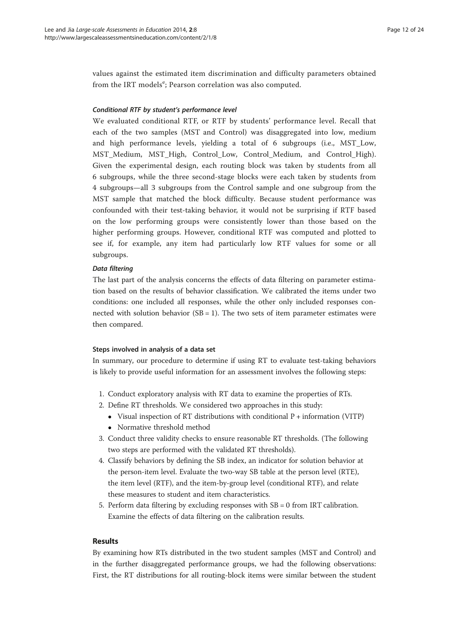<span id="page-11-0"></span>values against the estimated item discrimination and difficulty parameters obtained from the IRT models<sup>e</sup>; Pearson correlation was also computed.

# Conditional RTF by student's performance level

We evaluated conditional RTF, or RTF by students' performance level. Recall that each of the two samples (MST and Control) was disaggregated into low, medium and high performance levels, yielding a total of 6 subgroups (i.e., MST\_Low, MST\_Medium, MST\_High, Control\_Low, Control\_Medium, and Control\_High). Given the experimental design, each routing block was taken by students from all 6 subgroups, while the three second-stage blocks were each taken by students from 4 subgroups—all 3 subgroups from the Control sample and one subgroup from the MST sample that matched the block difficulty. Because student performance was confounded with their test-taking behavior, it would not be surprising if RTF based on the low performing groups were consistently lower than those based on the higher performing groups. However, conditional RTF was computed and plotted to see if, for example, any item had particularly low RTF values for some or all subgroups.

# Data filtering

The last part of the analysis concerns the effects of data filtering on parameter estimation based on the results of behavior classification. We calibrated the items under two conditions: one included all responses, while the other only included responses connected with solution behavior  $(SB = 1)$ . The two sets of item parameter estimates were then compared.

# Steps involved in analysis of a data set

In summary, our procedure to determine if using RT to evaluate test-taking behaviors is likely to provide useful information for an assessment involves the following steps:

- 1. Conduct exploratory analysis with RT data to examine the properties of RTs.
- 2. Define RT thresholds. We considered two approaches in this study:
	- Visual inspection of RT distributions with conditional P + information (VITP)
	- Normative threshold method
- 3. Conduct three validity checks to ensure reasonable RT thresholds. (The following two steps are performed with the validated RT thresholds).
- 4. Classify behaviors by defining the SB index, an indicator for solution behavior at the person-item level. Evaluate the two-way SB table at the person level (RTE), the item level (RTF), and the item-by-group level (conditional RTF), and relate these measures to student and item characteristics.
- 5. Perform data filtering by excluding responses with SB = 0 from IRT calibration. Examine the effects of data filtering on the calibration results.

# Results

By examining how RTs distributed in the two student samples (MST and Control) and in the further disaggregated performance groups, we had the following observations: First, the RT distributions for all routing-block items were similar between the student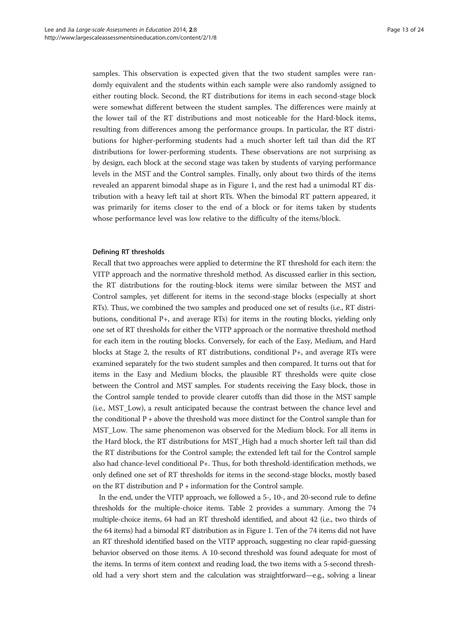samples. This observation is expected given that the two student samples were randomly equivalent and the students within each sample were also randomly assigned to either routing block. Second, the RT distributions for items in each second-stage block were somewhat different between the student samples. The differences were mainly at the lower tail of the RT distributions and most noticeable for the Hard-block items, resulting from differences among the performance groups. In particular, the RT distributions for higher-performing students had a much shorter left tail than did the RT distributions for lower-performing students. These observations are not surprising as by design, each block at the second stage was taken by students of varying performance levels in the MST and the Control samples. Finally, only about two thirds of the items revealed an apparent bimodal shape as in Figure [1](#page-2-0), and the rest had a unimodal RT distribution with a heavy left tail at short RTs. When the bimodal RT pattern appeared, it was primarily for items closer to the end of a block or for items taken by students whose performance level was low relative to the difficulty of the items/block.

# Defining RT thresholds

Recall that two approaches were applied to determine the RT threshold for each item: the VITP approach and the normative threshold method. As discussed earlier in this section, the RT distributions for the routing-block items were similar between the MST and Control samples, yet different for items in the second-stage blocks (especially at short RTs). Thus, we combined the two samples and produced one set of results (i.e., RT distributions, conditional P+, and average RTs) for items in the routing blocks, yielding only one set of RT thresholds for either the VITP approach or the normative threshold method for each item in the routing blocks. Conversely, for each of the Easy, Medium, and Hard blocks at Stage 2, the results of RT distributions, conditional P+, and average RTs were examined separately for the two student samples and then compared. It turns out that for items in the Easy and Medium blocks, the plausible RT thresholds were quite close between the Control and MST samples. For students receiving the Easy block, those in the Control sample tended to provide clearer cutoffs than did those in the MST sample (i.e., MST\_Low), a result anticipated because the contrast between the chance level and the conditional  $P$  + above the threshold was more distinct for the Control sample than for MST\_Low. The same phenomenon was observed for the Medium block. For all items in the Hard block, the RT distributions for MST\_High had a much shorter left tail than did the RT distributions for the Control sample; the extended left tail for the Control sample also had chance-level conditional  $P_{+}$ . Thus, for both threshold-identification methods, we only defined one set of RT thresholds for items in the second-stage blocks, mostly based on the RT distribution and P + information for the Control sample.

In the end, under the VITP approach, we followed a 5-, 10-, and 20-second rule to define thresholds for the multiple-choice items. Table [2](#page-7-0) provides a summary. Among the 74 multiple-choice items, 64 had an RT threshold identified, and about 42 (i.e., two thirds of the 64 items) had a bimodal RT distribution as in Figure [1.](#page-2-0) Ten of the 74 items did not have an RT threshold identified based on the VITP approach, suggesting no clear rapid-guessing behavior observed on those items. A 10-second threshold was found adequate for most of the items. In terms of item context and reading load, the two items with a 5-second threshold had a very short stem and the calculation was straightforward—e.g., solving a linear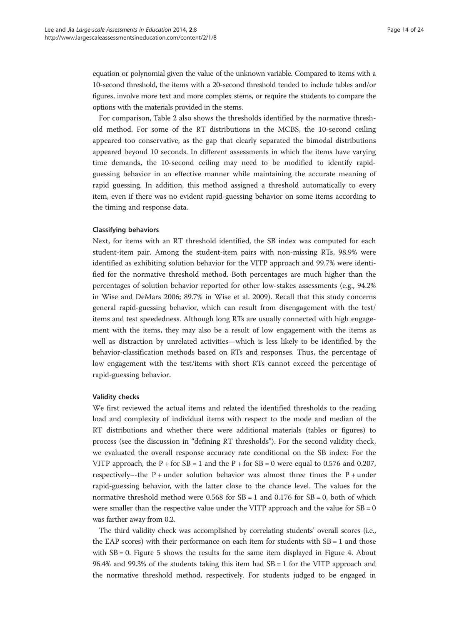equation or polynomial given the value of the unknown variable. Compared to items with a 10-second threshold, the items with a 20-second threshold tended to include tables and/or figures, involve more text and more complex stems, or require the students to compare the options with the materials provided in the stems.

For comparison, Table [2](#page-7-0) also shows the thresholds identified by the normative threshold method. For some of the RT distributions in the MCBS, the 10-second ceiling appeared too conservative, as the gap that clearly separated the bimodal distributions appeared beyond 10 seconds. In different assessments in which the items have varying time demands, the 10-second ceiling may need to be modified to identify rapidguessing behavior in an effective manner while maintaining the accurate meaning of rapid guessing. In addition, this method assigned a threshold automatically to every item, even if there was no evident rapid-guessing behavior on some items according to the timing and response data.

## Classifying behaviors

Next, for items with an RT threshold identified, the SB index was computed for each student-item pair. Among the student-item pairs with non-missing RTs, 98.9% were identified as exhibiting solution behavior for the VITP approach and 99.7% were identified for the normative threshold method. Both percentages are much higher than the percentages of solution behavior reported for other low-stakes assessments (e.g., 94.2% in Wise and DeMars [2006;](#page-23-0) 89.7% in Wise et al. [2009](#page-23-0)). Recall that this study concerns general rapid-guessing behavior, which can result from disengagement with the test/ items and test speededness. Although long RTs are usually connected with high engagement with the items, they may also be a result of low engagement with the items as well as distraction by unrelated activities—which is less likely to be identified by the behavior-classification methods based on RTs and responses. Thus, the percentage of low engagement with the test/items with short RTs cannot exceed the percentage of rapid-guessing behavior.

### Validity checks

We first reviewed the actual items and related the identified thresholds to the reading load and complexity of individual items with respect to the mode and median of the RT distributions and whether there were additional materials (tables or figures) to process (see the discussion in "defining RT thresholds"). For the second validity check, we evaluated the overall response accuracy rate conditional on the SB index: For the VITP approach, the P + for  $SB = 1$  and the P + for  $SB = 0$  were equal to 0.576 and 0.207, respectively–-the  $P$  + under solution behavior was almost three times the  $P$  + under rapid-guessing behavior, with the latter close to the chance level. The values for the normative threshold method were  $0.568$  for  $SB = 1$  and  $0.176$  for  $SB = 0$ , both of which were smaller than the respective value under the VITP approach and the value for  $SB = 0$ was farther away from 0.2.

The third validity check was accomplished by correlating students' overall scores (i.e., the EAP scores) with their performance on each item for students with  $SB = 1$  and those with  $SB = 0$ . Figure [5](#page-14-0) shows the results for the same item displayed in Figure [4](#page-8-0). About 96.4% and 99.3% of the students taking this item had SB = 1 for the VITP approach and the normative threshold method, respectively. For students judged to be engaged in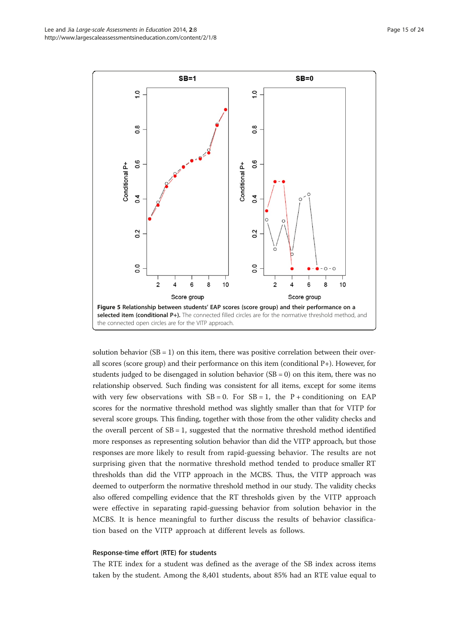<span id="page-14-0"></span>

solution behavior  $(SB = 1)$  on this item, there was positive correlation between their overall scores (score group) and their performance on this item (conditional  $P+$ ). However, for students judged to be disengaged in solution behavior  $(SB = 0)$  on this item, there was no relationship observed. Such finding was consistent for all items, except for some items with very few observations with  $SB = 0$ . For  $SB = 1$ , the P + conditioning on EAP scores for the normative threshold method was slightly smaller than that for VITP for several score groups. This finding, together with those from the other validity checks and the overall percent of  $SB = 1$ , suggested that the normative threshold method identified more responses as representing solution behavior than did the VITP approach, but those responses are more likely to result from rapid-guessing behavior. The results are not surprising given that the normative threshold method tended to produce smaller RT thresholds than did the VITP approach in the MCBS. Thus, the VITP approach was deemed to outperform the normative threshold method in our study. The validity checks also offered compelling evidence that the RT thresholds given by the VITP approach were effective in separating rapid-guessing behavior from solution behavior in the MCBS. It is hence meaningful to further discuss the results of behavior classification based on the VITP approach at different levels as follows.

# Response-time effort (RTE) for students

The RTE index for a student was defined as the average of the SB index across items taken by the student. Among the 8,401 students, about 85% had an RTE value equal to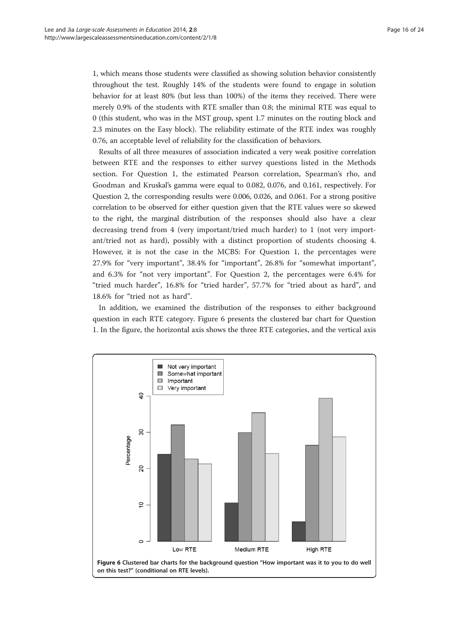1, which means those students were classified as showing solution behavior consistently throughout the test. Roughly 14% of the students were found to engage in solution behavior for at least 80% (but less than 100%) of the items they received. There were merely 0.9% of the students with RTE smaller than 0.8; the minimal RTE was equal to 0 (this student, who was in the MST group, spent 1.7 minutes on the routing block and 2.3 minutes on the Easy block). The reliability estimate of the RTE index was roughly 0.76, an acceptable level of reliability for the classification of behaviors.

Results of all three measures of association indicated a very weak positive correlation between RTE and the responses to either survey questions listed in the [Methods](#page-4-0) section. For Question 1, the estimated Pearson correlation, Spearman's rho, and Goodman and Kruskal's gamma were equal to 0.082, 0.076, and 0.161, respectively. For Question 2, the corresponding results were 0.006, 0.026, and 0.061. For a strong positive correlation to be observed for either question given that the RTE values were so skewed to the right, the marginal distribution of the responses should also have a clear decreasing trend from 4 (very important/tried much harder) to 1 (not very important/tried not as hard), possibly with a distinct proportion of students choosing 4. However, it is not the case in the MCBS: For Question 1, the percentages were 27.9% for "very important", 38.4% for "important", 26.8% for "somewhat important", and 6.3% for "not very important". For Question 2, the percentages were 6.4% for "tried much harder", 16.8% for "tried harder", 57.7% for "tried about as hard", and 18.6% for "tried not as hard".

In addition, we examined the distribution of the responses to either background question in each RTE category. Figure 6 presents the clustered bar chart for Question 1. In the figure, the horizontal axis shows the three RTE categories, and the vertical axis

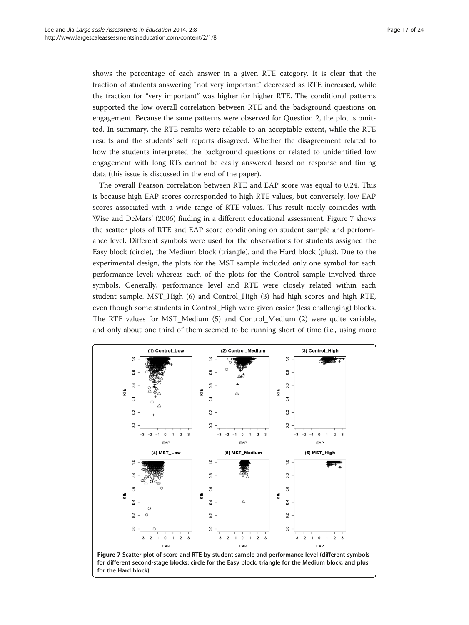shows the percentage of each answer in a given RTE category. It is clear that the fraction of students answering "not very important" decreased as RTE increased, while the fraction for "very important" was higher for higher RTE. The conditional patterns supported the low overall correlation between RTE and the background questions on engagement. Because the same patterns were observed for Question 2, the plot is omitted. In summary, the RTE results were reliable to an acceptable extent, while the RTE results and the students' self reports disagreed. Whether the disagreement related to how the students interpreted the background questions or related to unidentified low engagement with long RTs cannot be easily answered based on response and timing data (this issue is discussed in the end of the paper).

The overall Pearson correlation between RTE and EAP score was equal to 0.24. This is because high EAP scores corresponded to high RTE values, but conversely, low EAP scores associated with a wide range of RTE values. This result nicely coincides with Wise and DeMars' ([2006](#page-23-0)) finding in a different educational assessment. Figure 7 shows the scatter plots of RTE and EAP score conditioning on student sample and performance level. Different symbols were used for the observations for students assigned the Easy block (circle), the Medium block (triangle), and the Hard block (plus). Due to the experimental design, the plots for the MST sample included only one symbol for each performance level; whereas each of the plots for the Control sample involved three symbols. Generally, performance level and RTE were closely related within each student sample. MST\_High (6) and Control\_High (3) had high scores and high RTE, even though some students in Control\_High were given easier (less challenging) blocks. The RTE values for MST\_Medium (5) and Control\_Medium (2) were quite variable, and only about one third of them seemed to be running short of time (i.e., using more

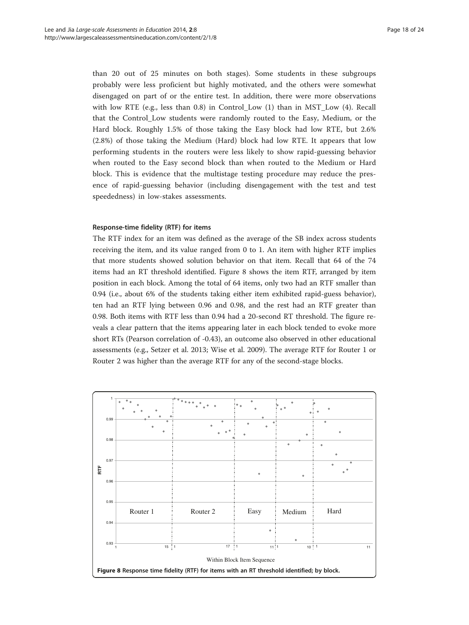than 20 out of 25 minutes on both stages). Some students in these subgroups probably were less proficient but highly motivated, and the others were somewhat disengaged on part of or the entire test. In addition, there were more observations with low RTE (e.g., less than  $0.8$ ) in Control Low (1) than in MST Low (4). Recall that the Control\_Low students were randomly routed to the Easy, Medium, or the Hard block. Roughly 1.5% of those taking the Easy block had low RTE, but 2.6% (2.8%) of those taking the Medium (Hard) block had low RTE. It appears that low performing students in the routers were less likely to show rapid-guessing behavior when routed to the Easy second block than when routed to the Medium or Hard block. This is evidence that the multistage testing procedure may reduce the presence of rapid-guessing behavior (including disengagement with the test and test speededness) in low-stakes assessments.

# Response-time fidelity (RTF) for items

The RTF index for an item was defined as the average of the SB index across students receiving the item, and its value ranged from 0 to 1. An item with higher RTF implies that more students showed solution behavior on that item. Recall that 64 of the 74 items had an RT threshold identified. Figure 8 shows the item RTF, arranged by item position in each block. Among the total of 64 items, only two had an RTF smaller than 0.94 (i.e., about 6% of the students taking either item exhibited rapid-guess behavior), ten had an RTF lying between 0.96 and 0.98, and the rest had an RTF greater than 0.98. Both items with RTF less than 0.94 had a 20-second RT threshold. The figure reveals a clear pattern that the items appearing later in each block tended to evoke more short RTs (Pearson correlation of -0.43), an outcome also observed in other educational assessments (e.g., Setzer et al. [2013](#page-23-0); Wise et al. [2009\)](#page-23-0). The average RTF for Router 1 or Router 2 was higher than the average RTF for any of the second-stage blocks.

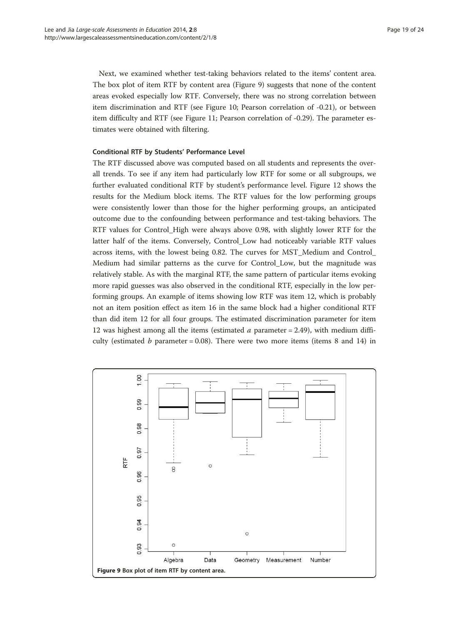Next, we examined whether test-taking behaviors related to the items' content area. The box plot of item RTF by content area (Figure 9) suggests that none of the content areas evoked especially low RTF. Conversely, there was no strong correlation between item discrimination and RTF (see Figure [10;](#page-19-0) Pearson correlation of -0.21), or between item difficulty and RTF (see Figure [11;](#page-19-0) Pearson correlation of -0.29). The parameter estimates were obtained with filtering.

# Conditional RTF by Students' Performance Level

The RTF discussed above was computed based on all students and represents the overall trends. To see if any item had particularly low RTF for some or all subgroups, we further evaluated conditional RTF by student's performance level. Figure [12](#page-20-0) shows the results for the Medium block items. The RTF values for the low performing groups were consistently lower than those for the higher performing groups, an anticipated outcome due to the confounding between performance and test-taking behaviors. The RTF values for Control\_High were always above 0.98, with slightly lower RTF for the latter half of the items. Conversely, Control\_Low had noticeably variable RTF values across items, with the lowest being 0.82. The curves for MST\_Medium and Control\_ Medium had similar patterns as the curve for Control\_Low, but the magnitude was relatively stable. As with the marginal RTF, the same pattern of particular items evoking more rapid guesses was also observed in the conditional RTF, especially in the low performing groups. An example of items showing low RTF was item 12, which is probably not an item position effect as item 16 in the same block had a higher conditional RTF than did item 12 for all four groups. The estimated discrimination parameter for item 12 was highest among all the items (estimated  $a$  parameter = 2.49), with medium difficulty (estimated b parameter =  $0.08$ ). There were two more items (items 8 and 14) in

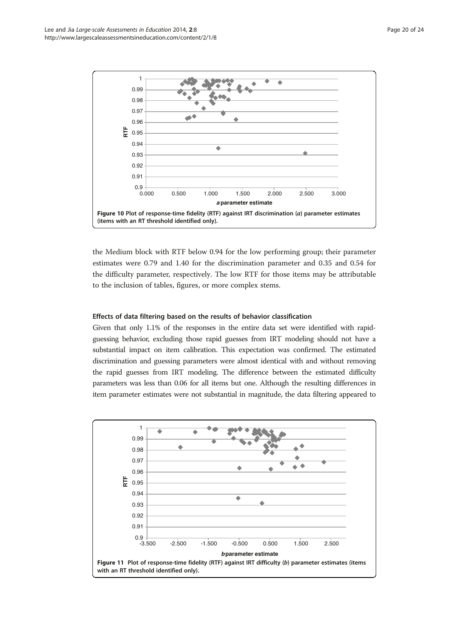<span id="page-19-0"></span>

the Medium block with RTF below 0.94 for the low performing group; their parameter estimates were 0.79 and 1.40 for the discrimination parameter and 0.35 and 0.54 for the difficulty parameter, respectively. The low RTF for those items may be attributable to the inclusion of tables, figures, or more complex stems.

# Effects of data filtering based on the results of behavior classification

Given that only 1.1% of the responses in the entire data set were identified with rapidguessing behavior, excluding those rapid guesses from IRT modeling should not have a substantial impact on item calibration. This expectation was confirmed. The estimated discrimination and guessing parameters were almost identical with and without removing the rapid guesses from IRT modeling. The difference between the estimated difficulty parameters was less than 0.06 for all items but one. Although the resulting differences in item parameter estimates were not substantial in magnitude, the data filtering appeared to

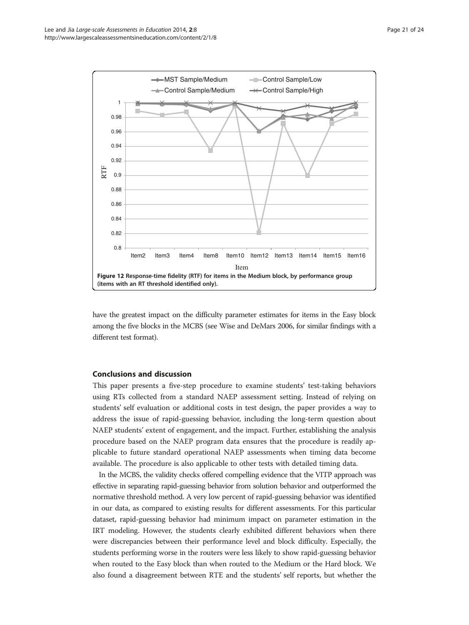<span id="page-20-0"></span>

have the greatest impact on the difficulty parameter estimates for items in the Easy block among the five blocks in the MCBS (see Wise and DeMars [2006,](#page-23-0) for similar findings with a different test format).

# Conclusions and discussion

This paper presents a five-step procedure to examine students' test-taking behaviors using RTs collected from a standard NAEP assessment setting. Instead of relying on students' self evaluation or additional costs in test design, the paper provides a way to address the issue of rapid-guessing behavior, including the long-term question about NAEP students' extent of engagement, and the impact. Further, establishing the analysis procedure based on the NAEP program data ensures that the procedure is readily applicable to future standard operational NAEP assessments when timing data become available. The procedure is also applicable to other tests with detailed timing data.

In the MCBS, the validity checks offered compelling evidence that the VITP approach was effective in separating rapid-guessing behavior from solution behavior and outperformed the normative threshold method. A very low percent of rapid-guessing behavior was identified in our data, as compared to existing results for different assessments. For this particular dataset, rapid-guessing behavior had minimum impact on parameter estimation in the IRT modeling. However, the students clearly exhibited different behaviors when there were discrepancies between their performance level and block difficulty. Especially, the students performing worse in the routers were less likely to show rapid-guessing behavior when routed to the Easy block than when routed to the Medium or the Hard block. We also found a disagreement between RTE and the students' self reports, but whether the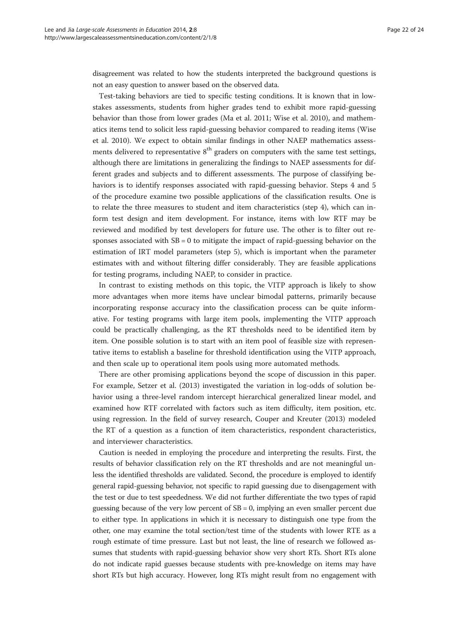disagreement was related to how the students interpreted the background questions is not an easy question to answer based on the observed data.

Test-taking behaviors are tied to specific testing conditions. It is known that in lowstakes assessments, students from higher grades tend to exhibit more rapid-guessing behavior than those from lower grades (Ma et al. [2011](#page-23-0); Wise et al. [2010\)](#page-23-0), and mathematics items tend to solicit less rapid-guessing behavior compared to reading items (Wise et al. [2010](#page-23-0)). We expect to obtain similar findings in other NAEP mathematics assessments delivered to representative  $8<sup>th</sup>$  graders on computers with the same test settings, although there are limitations in generalizing the findings to NAEP assessments for different grades and subjects and to different assessments. The purpose of classifying behaviors is to identify responses associated with rapid-guessing behavior. Steps 4 and 5 of the procedure examine two possible applications of the classification results. One is to relate the three measures to student and item characteristics (step 4), which can inform test design and item development. For instance, items with low RTF may be reviewed and modified by test developers for future use. The other is to filter out responses associated with  $SB = 0$  to mitigate the impact of rapid-guessing behavior on the estimation of IRT model parameters (step 5), which is important when the parameter estimates with and without filtering differ considerably. They are feasible applications for testing programs, including NAEP, to consider in practice.

In contrast to existing methods on this topic, the VITP approach is likely to show more advantages when more items have unclear bimodal patterns, primarily because incorporating response accuracy into the classification process can be quite informative. For testing programs with large item pools, implementing the VITP approach could be practically challenging, as the RT thresholds need to be identified item by item. One possible solution is to start with an item pool of feasible size with representative items to establish a baseline for threshold identification using the VITP approach, and then scale up to operational item pools using more automated methods.

There are other promising applications beyond the scope of discussion in this paper. For example, Setzer et al. ([2013\)](#page-23-0) investigated the variation in log-odds of solution behavior using a three-level random intercept hierarchical generalized linear model, and examined how RTF correlated with factors such as item difficulty, item position, etc. using regression. In the field of survey research, Couper and Kreuter ([2013](#page-23-0)) modeled the RT of a question as a function of item characteristics, respondent characteristics, and interviewer characteristics.

Caution is needed in employing the procedure and interpreting the results. First, the results of behavior classification rely on the RT thresholds and are not meaningful unless the identified thresholds are validated. Second, the procedure is employed to identify general rapid-guessing behavior, not specific to rapid guessing due to disengagement with the test or due to test speededness. We did not further differentiate the two types of rapid guessing because of the very low percent of  $SB = 0$ , implying an even smaller percent due to either type. In applications in which it is necessary to distinguish one type from the other, one may examine the total section/test time of the students with lower RTE as a rough estimate of time pressure. Last but not least, the line of research we followed assumes that students with rapid-guessing behavior show very short RTs. Short RTs alone do not indicate rapid guesses because students with pre-knowledge on items may have short RTs but high accuracy. However, long RTs might result from no engagement with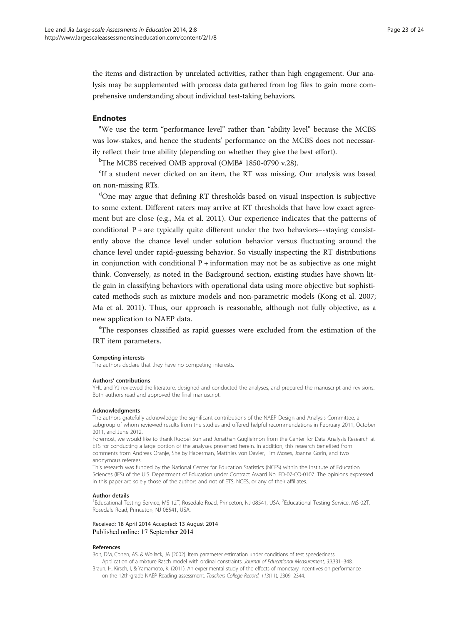<span id="page-22-0"></span>the items and distraction by unrelated activities, rather than high engagement. Our analysis may be supplemented with process data gathered from log files to gain more comprehensive understanding about individual test-taking behaviors.

# Endnotes

<sup>a</sup>We use the term "performance level" rather than "ability level" because the MCBS was low-stakes, and hence the students' performance on the MCBS does not necessarily reflect their true ability (depending on whether they give the best effort).

<sup>b</sup>The MCBS received OMB approval (OMB# 1850-0790 v.28).

<sup>c</sup>If a student never clicked on an item, the RT was missing. Our analysis was based on non-missing RTs.

<sup>d</sup>One may argue that defining RT thresholds based on visual inspection is subjective to some extent. Different raters may arrive at RT thresholds that have low exact agreement but are close (e.g., Ma et al. [2011\)](#page-23-0). Our experience indicates that the patterns of conditional  $P$  + are typically quite different under the two behaviors--staying consistently above the chance level under solution behavior versus fluctuating around the chance level under rapid-guessing behavior. So visually inspecting the RT distributions in conjunction with conditional  $P$  + information may not be as subjective as one might think. Conversely, as noted in the [Background](#page-1-0) section, existing studies have shown little gain in classifying behaviors with operational data using more objective but sophisticated methods such as mixture models and non-parametric models (Kong et al. [2007](#page-23-0); Ma et al. [2011](#page-23-0)). Thus, our approach is reasonable, although not fully objective, as a new application to NAEP data.

<sup>e</sup>The responses classified as rapid guesses were excluded from the estimation of the IRT item parameters.

#### Competing interests

The authors declare that they have no competing interests.

#### Authors' contributions

YHL and YJ reviewed the literature, designed and conducted the analyses, and prepared the manuscript and revisions. Both authors read and approved the final manuscript.

#### Acknowledgments

The authors gratefully acknowledge the significant contributions of the NAEP Design and Analysis Committee, a subgroup of whom reviewed results from the studies and offered helpful recommendations in February 2011, October 2011, and June 2012.

Foremost, we would like to thank Ruopei Sun and Jonathan Guglielmon from the Center for Data Analysis Research at ETS for conducting a large portion of the analyses presented herein. In addition, this research benefited from comments from Andreas Oranje, Shelby Haberman, Matthias von Davier, Tim Moses, Joanna Gorin, and two anonymous referees.

This research was funded by the National Center for Education Statistics (NCES) within the Institute of Education Sciences (IES) of the U.S. Department of Education under Contract Award No. ED-07-CO-0107. The opinions expressed in this paper are solely those of the authors and not of ETS, NCES, or any of their affiliates.

#### Author details

<sup>1</sup>Educational Testing Service, MS 12T, Rosedale Road, Princeton, NJ 08541, USA. <sup>2</sup>Educational Testing Service, MS 02T, Rosedale Road, Princeton, NJ 08541, USA.

#### Received: 18 April 2014 Accepted: 13 August 2014 Published online: 17 September 2014

#### References

Bolt, DM, Cohen, AS, & Wollack, JA (2002). Item parameter estimation under conditions of test speededness: Application of a mixture Rasch model with ordinal constraints. Journal of Educational Measurement, 39,331–348.

Braun, H, Kirsch, I, & Yamamoto, K. (2011). An experimental study of the effects of monetary incentives on performance on the 12th-grade NAEP Reading assessment. Teachers College Record, 113(11), 2309–2344.